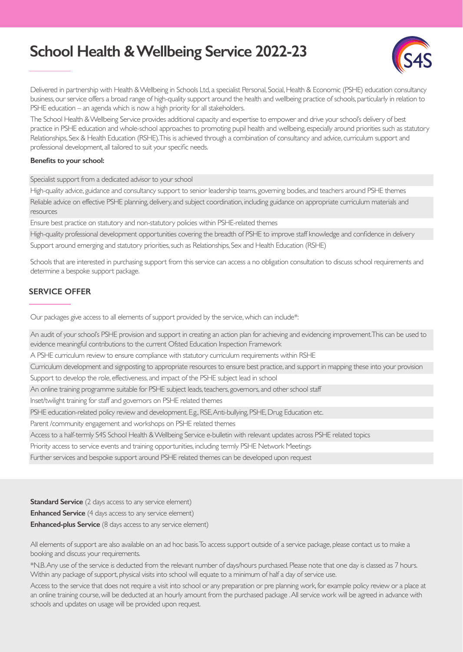# **School Health & Wellbeing Service 2022-23**



Delivered in partnership with Health & Wellbeing in Schools Ltd, a specialist Personal, Social, Health & Economic (PSHE) education consultancy business, our service offers a broad range of high-quality support around the health and wellbeing practice of schools, particularly in relation to PSHE education – an agenda which is now a high priority for all stakeholders.

The School Health & Wellbeing Service provides additional capacity and expertise to empower and drive your school's delivery of best practice in PSHE education and whole-school approaches to promoting pupil health and wellbeing, especially around priorities such as statutory Relationships, Sex & Health Education (RSHE). This is achieved through a combination of consultancy and advice, curriculum support and professional development, all tailored to suit your specific needs.

#### **Benefits to your school:**

Specialist support from a dedicated advisor to your school

High-quality advice, guidance and consultancy support to senior leadership teams, governing bodies, and teachers around PSHE themes

Reliable advice on effective PSHE planning, delivery, and subject coordination, including guidance on appropriate curriculum materials and resources

Ensure best practice on statutory and non-statutory policies within PSHE-related themes

High-quality professional development opportunities covering the breadth of PSHE to improve staff knowledge and confidence in delivery Support around emerging and statutory priorities, such as Relationships, Sex and Health Education (RSHE)

Schools that are interested in purchasing support from this service can access a no obligation consultation to discuss school requirements and determine a bespoke support package.

### **SERVICE OFFER**

Our packages give access to all elements of support provided by the service, which can include\*:

An audit of your school's PSHE provision and support in creating an action plan for achieving and evidencing improvement. This can be used to evidence meaningful contributions to the current Ofsted Education Inspection Framework

A PSHE curriculum review to ensure compliance with statutory curriculum requirements within RSHE

Curriculum development and signposting to appropriate resources to ensure best practice, and support in mapping these into your provision

Support to develop the role, effectiveness, and impact of the PSHE subject lead in school

An online training programme suitable for PSHE subject leads, teachers, governors, and other school staff

Inset/twilight training for staff and governors on PSHE related themes

PSHE education-related policy review and development. E.g., RSE, Anti-bullying, PSHE, Drug Education etc.

Parent /community engagement and workshops on PSHE related themes

Access to a half-termly S4S School Health & Wellbeing Service e-bulletin with relevant updates across PSHE related topics

Priority access to service events and training opportunities, including termly PSHE Network Meetings

Further services and bespoke support around PSHE related themes can be developed upon request

**Standard Service** (2 days access to any service element)

**Enhanced Service** (4 days access to any service element)

**Enhanced-plus Service** (8 days access to any service element)

All elements of support are also available on an ad hoc basis. To access support outside of a service package, please contact us to make a booking and discuss your requirements.

\*N.B. Any use of the service is deducted from the relevant number of days/hours purchased. Please note that one day is classed as 7 hours. Within any package of support, physical visits into school will equate to a minimum of half a day of service use.

schools and updates on usage will be provided upon request. Access to the service that does not require a visit into school or any preparation or pre planning work, for example policy review or a place at an online training course, will be deducted at an hourly amount from the purchased package . All service work will be agreed in advance with